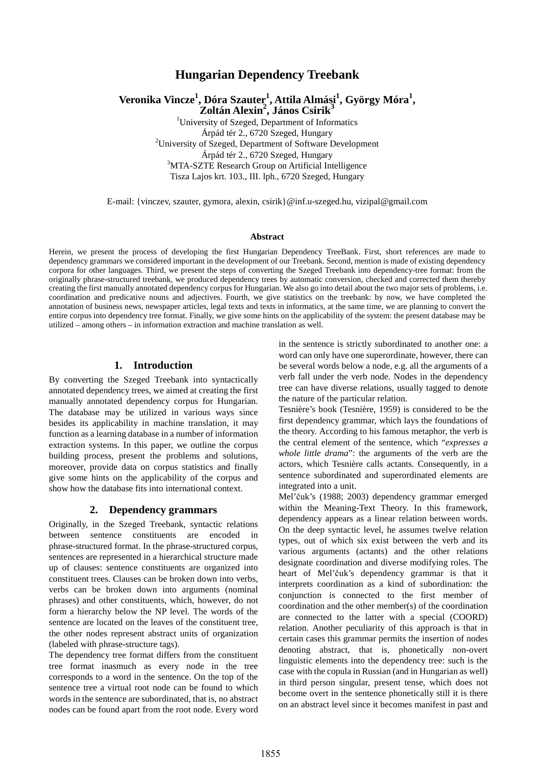# **Hungarian Dependency Treebank**

**Veronika Vincze<sup>1</sup> , Dóra Szauter<sup>1</sup> , Attila Almási<sup>1</sup> , György Móra<sup>1</sup> , Zoltán Alexin<sup>2</sup> , János Csirik<sup>3</sup>**

<sup>1</sup>University of Szeged, Department of Informatics Árpád tér 2., 6720 Szeged, Hungary <sup>2</sup>University of Szeged, Department of Software Development Árpád tér 2., 6720 Szeged, Hungary <sup>3</sup>MTA-SZTE Research Group on Artificial Intelligence Tisza Lajos krt. 103., III. lph., 6720 Szeged, Hungary

E-mail: {vinczev, szauter, gymora, alexin, csirik}@inf.u-szeged.hu, vizipal@gmail.com

#### **Abstract**

Herein, we present the process of developing the first Hungarian Dependency TreeBank. First, short references are made to dependency grammars we considered important in the development of our Treebank. Second, mention is made of existing dependency corpora for other languages. Third, we present the steps of converting the Szeged Treebank into dependency-tree format: from the originally phrase-structured treebank, we produced dependency trees by automatic conversion, checked and corrected them thereby creating the first manually annotated dependency corpus for Hungarian. We also go into detail about the two major sets of problems, i.e. coordination and predicative nouns and adjectives. Fourth, we give statistics on the treebank: by now, we have completed the annotation of business news, newspaper articles, legal texts and texts in informatics, at the same time, we are planning to convert the entire corpus into dependency tree format. Finally, we give some hints on the applicability of the system: the present database may be utilized – among others – in information extraction and machine translation as well.

### **1. Introduction**

By converting the Szeged Treebank into syntactically annotated dependency trees, we aimed at creating the first manually annotated dependency corpus for Hungarian. The database may be utilized in various ways since besides its applicability in machine translation, it may function as a learning database in a number of information extraction systems. In this paper, we outline the corpus building process, present the problems and solutions, moreover, provide data on corpus statistics and finally give some hints on the applicability of the corpus and show how the database fits into international context.

#### **2. Dependency grammars**

Originally, in the Szeged Treebank, syntactic relations between sentence constituents are encoded in phrase-structured format. In the phrase-structured corpus, sentences are represented in a hierarchical structure made up of clauses: sentence constituents are organized into constituent trees. Clauses can be broken down into verbs, verbs can be broken down into arguments (nominal phrases) and other constituents, which, however, do not form a hierarchy below the NP level. The words of the sentence are located on the leaves of the constituent tree, the other nodes represent abstract units of organization (labeled with phrase-structure tags).

The dependency tree format differs from the constituent tree format inasmuch as every node in the tree corresponds to a word in the sentence. On the top of the sentence tree a virtual root node can be found to which words in the sentence are subordinated, that is, no abstract nodes can be found apart from the root node. Every word in the sentence is strictly subordinated to another one: a word can only have one superordinate, however, there can be several words below a node, e.g. all the arguments of a verb fall under the verb node. Nodes in the dependency tree can have diverse relations, usually tagged to denote the nature of the particular relation.

Tesnière's book (Tesnière, 1959) is considered to be the first dependency grammar, which lays the foundations of the theory. According to his famous metaphor, the verb is the central element of the sentence, which "*expresses a whole little drama*": the arguments of the verb are the actors, which Tesnière calls actants. Consequently, in a sentence subordinated and superordinated elements are integrated into a unit.

Mel'čuk's (1988; 2003) dependency grammar emerged within the Meaning-Text Theory. In this framework, dependency appears as a linear relation between words. On the deep syntactic level, he assumes twelve relation types, out of which six exist between the verb and its various arguments (actants) and the other relations designate coordination and diverse modifying roles. The heart of Mel'čuk's dependency grammar is that it interprets coordination as a kind of subordination: the conjunction is connected to the first member of coordination and the other member(s) of the coordination are connected to the latter with a special (COORD) relation. Another peculiarity of this approach is that in certain cases this grammar permits the insertion of nodes denoting abstract, that is, phonetically non-overt linguistic elements into the dependency tree: such is the case with the copula in Russian (and in Hungarian as well) in third person singular, present tense, which does not become overt in the sentence phonetically still it is there on an abstract level since it becomes manifest in past and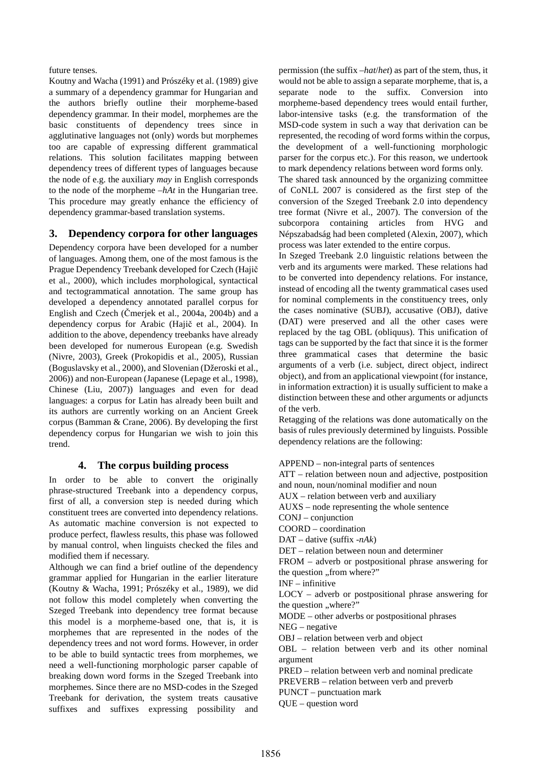future tenses.

Koutny and Wacha (1991) and Prószéky et al. (1989) give a summary of a dependency grammar for Hungarian and the authors briefly outline their morpheme-based dependency grammar. In their model, morphemes are the basic constituents of dependency trees since in agglutinative languages not (only) words but morphemes too are capable of expressing different grammatical relations. This solution facilitates mapping between dependency trees of different types of languages because the node of e.g. the auxiliary *may* in English corresponds to the node of the morpheme –*hAt* in the Hungarian tree. This procedure may greatly enhance the efficiency of dependency grammar-based translation systems.

## **3. Dependency corpora for other languages**

Dependency corpora have been developed for a number of languages. Among them, one of the most famous is the Prague Dependency Treebank developed for Czech (Hajič et al., 2000), which includes morphological, syntactical and tectogrammatical annotation. The same group has developed a dependency annotated parallel corpus for English and Czech (Čmerjek et al., 2004a, 2004b) and a dependency corpus for Arabic (Hajič et al., 2004). In addition to the above, dependency treebanks have already been developed for numerous European (e.g. Swedish (Nivre, 2003), Greek (Prokopidis et al., 2005), Russian (Boguslavsky et al., 2000), and Slovenian (Džeroski et al., 2006)) and non-European (Japanese (Lepage et al., 1998), Chinese (Liu, 2007)) languages and even for dead languages: a corpus for Latin has already been built and its authors are currently working on an Ancient Greek corpus (Bamman & Crane, 2006). By developing the first dependency corpus for Hungarian we wish to join this trend.

### **4. The corpus building process**

In order to be able to convert the originally phrase-structured Treebank into a dependency corpus, first of all, a conversion step is needed during which constituent trees are converted into dependency relations. As automatic machine conversion is not expected to produce perfect, flawless results, this phase was followed by manual control, when linguists checked the files and modified them if necessary.

Although we can find a brief outline of the dependency grammar applied for Hungarian in the earlier literature (Koutny & Wacha, 1991; Prószéky et al., 1989), we did not follow this model completely when converting the Szeged Treebank into dependency tree format because this model is a morpheme-based one, that is, it is morphemes that are represented in the nodes of the dependency trees and not word forms. However, in order to be able to build syntactic trees from morphemes, we need a well-functioning morphologic parser capable of breaking down word forms in the Szeged Treebank into morphemes. Since there are no MSD-codes in the Szeged Treebank for derivation, the system treats causative suffixes and suffixes expressing possibility and

permission (the suffix –*hat*/*het*) as part of the stem, thus, it would not be able to assign a separate morpheme, that is, a separate node to the suffix. Conversion into morpheme-based dependency trees would entail further, labor-intensive tasks (e.g. the transformation of the MSD-code system in such a way that derivation can be represented, the recoding of word forms within the corpus, the development of a well-functioning morphologic parser for the corpus etc.). For this reason, we undertook to mark dependency relations between word forms only.

The shared task announced by the organizing committee of CoNLL 2007 is considered as the first step of the conversion of the Szeged Treebank 2.0 into dependency tree format (Nivre et al., 2007). The conversion of the subcorpora containing articles from HVG and Népszabadság had been completed (Alexin, 2007), which process was later extended to the entire corpus.

In Szeged Treebank 2.0 linguistic relations between the verb and its arguments were marked. These relations had to be converted into dependency relations. For instance, instead of encoding all the twenty grammatical cases used for nominal complements in the constituency trees, only the cases nominative (SUBJ), accusative (OBJ), dative (DAT) were preserved and all the other cases were replaced by the tag OBL (obliquus). This unification of tags can be supported by the fact that since it is the former three grammatical cases that determine the basic arguments of a verb (i.e. subject, direct object, indirect object), and from an applicational viewpoint (for instance, in information extraction) it is usually sufficient to make a distinction between these and other arguments or adjuncts of the verb.

Retagging of the relations was done automatically on the basis of rules previously determined by linguists. Possible dependency relations are the following:

APPEND – non-integral parts of sentences ATT – relation between noun and adjective, postposition and noun, noun/nominal modifier and noun AUX – relation between verb and auxiliary AUXS – node representing the whole sentence CONJ – conjunction COORD – coordination DAT – dative (suffix -*nAk*) DET – relation between noun and determiner FROM – adverb or postpositional phrase answering for the question "from where?" INF – infinitive LOCY – adverb or postpositional phrase answering for the question "where?" MODE – other adverbs or postpositional phrases NEG – negative OBJ – relation between verb and object OBL – relation between verb and its other nominal argument PRED – relation between verb and nominal predicate PREVERB – relation between verb and preverb PUNCT – punctuation mark QUE – question word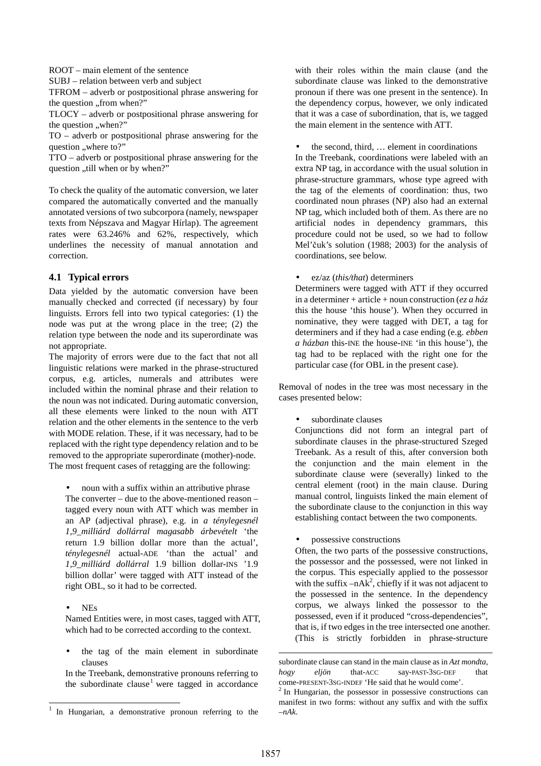ROOT – main element of the sentence

SUBJ – relation between verb and subject

TFROM – adverb or postpositional phrase answering for the question "from when?"

TLOCY – adverb or postpositional phrase answering for the question "when?"

TO – adverb or postpositional phrase answering for the question "where to?"

TTO – adverb or postpositional phrase answering for the question ..till when or by when?"

To check the quality of the automatic conversion, we later compared the automatically converted and the manually annotated versions of two subcorpora (namely, newspaper texts from Népszava and Magyar Hírlap). The agreement rates were 63.246% and 62%, respectively, which underlines the necessity of manual annotation and correction.

## **4.1 Typical errors**

Data yielded by the automatic conversion have been manually checked and corrected (if necessary) by four linguists. Errors fell into two typical categories: (1) the node was put at the wrong place in the tree; (2) the relation type between the node and its superordinate was not appropriate.

The majority of errors were due to the fact that not all linguistic relations were marked in the phrase-structured corpus, e.g. articles, numerals and attributes were included within the nominal phrase and their relation to the noun was not indicated. During automatic conversion, all these elements were linked to the noun with ATT relation and the other elements in the sentence to the verb with MODE relation. These, if it was necessary, had to be replaced with the right type dependency relation and to be removed to the appropriate superordinate (mother)-node. The most frequent cases of retagging are the following:

• noun with a suffix within an attributive phrase The converter – due to the above-mentioned reason – tagged every noun with ATT which was member in an AP (adjectival phrase), e.g. in *a ténylegesnél 1,9\_milliárd dollárral magasabb árbevételt* 'the return 1.9 billion dollar more than the actual', *ténylegesnél* actual-ADE 'than the actual' and *1,9\_milliárd dollárral* 1.9 billion dollar-INS '1.9 billion dollar' were tagged with ATT instead of the right OBL, so it had to be corrected.

l

Named Entities were, in most cases, tagged with ATT, which had to be corrected according to the context.

the tag of the main element in subordinate clauses

In the Treebank, demonstrative pronouns referring to the subordinate clause<sup>1</sup> were tagged in accordance with their roles within the main clause (and the subordinate clause was linked to the demonstrative pronoun if there was one present in the sentence). In the dependency corpus, however, we only indicated that it was a case of subordination, that is, we tagged the main element in the sentence with ATT.

the second, third, element in coordinations In the Treebank, coordinations were labeled with an extra NP tag, in accordance with the usual solution in phrase-structure grammars, whose type agreed with the tag of the elements of coordination: thus, two coordinated noun phrases (NP) also had an external NP tag, which included both of them. As there are no artificial nodes in dependency grammars, this procedure could not be used, so we had to follow Mel'čuk's solution (1988; 2003) for the analysis of coordinations, see below.

• ez/az (*this/that*) determiners

Determiners were tagged with ATT if they occurred in a determiner + article + noun construction (*ez a ház* this the house 'this house'). When they occurred in nominative, they were tagged with DET, a tag for determiners and if they had a case ending (e.g. *ebben a házban* this-INE the house-INE 'in this house'), the tag had to be replaced with the right one for the particular case (for OBL in the present case).

Removal of nodes in the tree was most necessary in the cases presented below:

subordinate clauses

Conjunctions did not form an integral part of subordinate clauses in the phrase-structured Szeged Treebank. As a result of this, after conversion both the conjunction and the main element in the subordinate clause were (severally) linked to the central element (root) in the main clause. During manual control, linguists linked the main element of the subordinate clause to the conjunction in this way establishing contact between the two components.

• possessive constructions

Often, the two parts of the possessive constructions, the possessor and the possessed, were not linked in the corpus. This especially applied to the possessor with the suffix  $-nAk^2$ , chiefly if it was not adjacent to the possessed in the sentence. In the dependency corpus, we always linked the possessor to the possessed, even if it produced "cross-dependencies", that is, if two edges in the tree intersected one another. (This is strictly forbidden in phrase-structure

1

<sup>•</sup> NEs

<sup>1</sup> In Hungarian, a demonstrative pronoun referring to the

subordinate clause can stand in the main clause as in *Azt mondta, hogy eljön* that-ACC say-PAST-3SG-DEF that come-PRESENT-3SG-INDEF 'He said that he would come'.

<sup>2</sup> In Hungarian, the possessor in possessive constructions can manifest in two forms: without any suffix and with the suffix *–nAk*.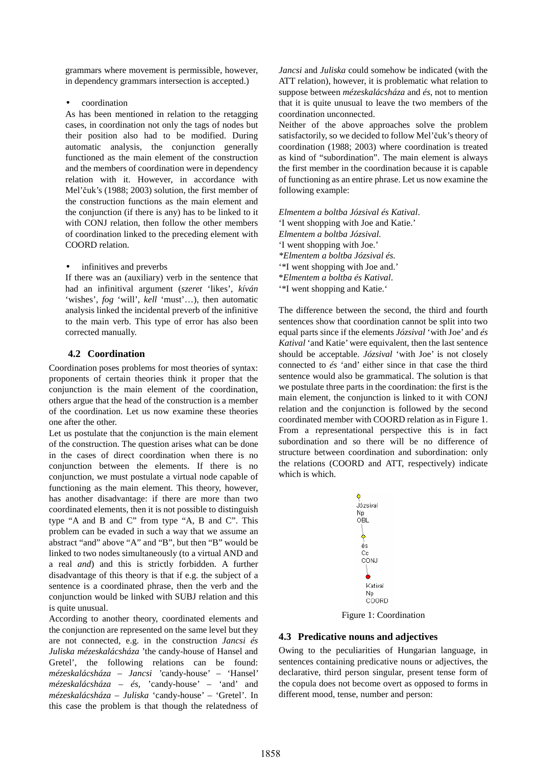grammars where movement is permissible, however, in dependency grammars intersection is accepted.)

• coordination

As has been mentioned in relation to the retagging cases, in coordination not only the tags of nodes but their position also had to be modified. During automatic analysis, the conjunction generally functioned as the main element of the construction and the members of coordination were in dependency relation with it. However, in accordance with Mel'čuk's (1988; 2003) solution, the first member of the construction functions as the main element and the conjunction (if there is any) has to be linked to it with CONJ relation, then follow the other members of coordination linked to the preceding element with COORD relation.

infinitives and preverbs

If there was an (auxiliary) verb in the sentence that had an infinitival argument (*szeret* 'likes', *kíván* 'wishes', *fog* 'will', *kell* 'must'…), then automatic analysis linked the incidental preverb of the infinitive to the main verb. This type of error has also been corrected manually.

## **4.2 Coordination**

Coordination poses problems for most theories of syntax: proponents of certain theories think it proper that the conjunction is the main element of the coordination, others argue that the head of the construction is a member of the coordination. Let us now examine these theories one after the other.

Let us postulate that the conjunction is the main element of the construction. The question arises what can be done in the cases of direct coordination when there is no conjunction between the elements. If there is no conjunction, we must postulate a virtual node capable of functioning as the main element. This theory, however, has another disadvantage: if there are more than two coordinated elements, then it is not possible to distinguish type "A and B and C" from type "A, B and C". This problem can be evaded in such a way that we assume an abstract "and" above "A" and "B", but then "B" would be linked to two nodes simultaneously (to a virtual AND and a real *and*) and this is strictly forbidden. A further disadvantage of this theory is that if e.g. the subject of a sentence is a coordinated phrase, then the verb and the conjunction would be linked with SUBJ relation and this is quite unusual.

According to another theory, coordinated elements and the conjunction are represented on the same level but they are not connected, e.g. in the construction *Jancsi és Juliska mézeskalácsháza* 'the candy-house of Hansel and Gretel', the following relations can be found: *mézeskalácsháza* – *Jancsi '*candy-house' – 'Hansel' *mézeskalácsháza* – *és*, 'candy-house' – 'and' and *mézeskalácsháza* – *Juliska* 'candy-house' – 'Gretel'. In this case the problem is that though the relatedness of *Jancsi* and *Juliska* could somehow be indicated (with the ATT relation), however, it is problematic what relation to suppose between *mézeskalácsháza* and *és*, not to mention that it is quite unusual to leave the two members of the coordination unconnected.

Neither of the above approaches solve the problem satisfactorily, so we decided to follow Mel'čuk's theory of coordination (1988; 2003) where coordination is treated as kind of "subordination". The main element is always the first member in the coordination because it is capable of functioning as an entire phrase. Let us now examine the following example:

*Elmentem a boltba Józsival és Katival*. 'I went shopping with Joe and Katie.' *Elmentem a boltba Józsival.*  'I went shopping with Joe.' *\*Elmentem a boltba Józsival és.* '\*I went shopping with Joe and.' \**Elmentem a boltba és Katival*. '\*I went shopping and Katie.'

The difference between the second, the third and fourth sentences show that coordination cannot be split into two equal parts since if the elements *Józsival* 'with Joe' and *és Katival* 'and Katie' were equivalent, then the last sentence should be acceptable. *Józsival* 'with Joe' is not closely connected to *és* 'and' either since in that case the third sentence would also be grammatical. The solution is that we postulate three parts in the coordination: the first is the main element, the conjunction is linked to it with CONJ relation and the conjunction is followed by the second coordinated member with COORD relation as in Figure 1. From a representational perspective this is in fact subordination and so there will be no difference of structure between coordination and subordination: only the relations (COORD and ATT, respectively) indicate which is which.



Figure 1: Coordination

# **4.3 Predicative nouns and adjectives**

Owing to the peculiarities of Hungarian language, in sentences containing predicative nouns or adjectives, the declarative, third person singular, present tense form of the copula does not become overt as opposed to forms in different mood, tense, number and person: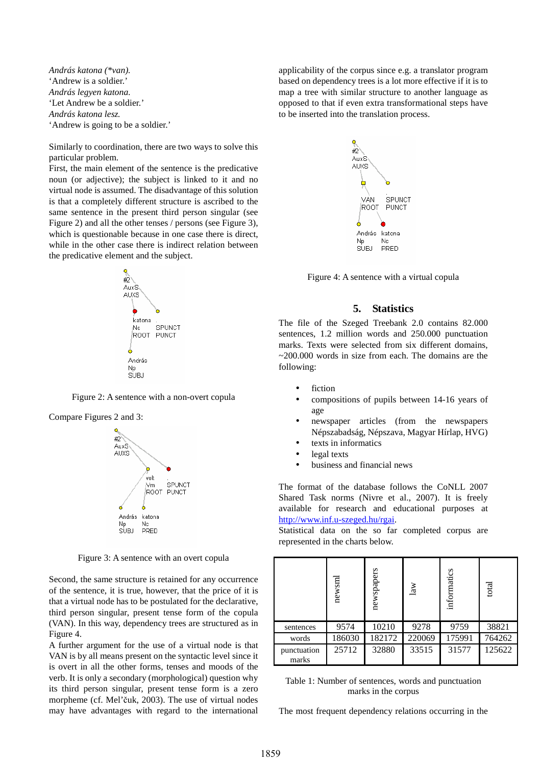*András katona (\*van).*  'Andrew is a soldier.' *András legyen katona.*  'Let Andrew be a soldier.' *András katona lesz.*  'Andrew is going to be a soldier.'

Similarly to coordination, there are two ways to solve this particular problem.

First, the main element of the sentence is the predicative noun (or adjective); the subject is linked to it and no virtual node is assumed. The disadvantage of this solution is that a completely different structure is ascribed to the same sentence in the present third person singular (see Figure 2) and all the other tenses / persons (see Figure 3), which is questionable because in one case there is direct, while in the other case there is indirect relation between the predicative element and the subject.



Figure 2: A sentence with a non-overt copula



Figure 3: A sentence with an overt copula

Second, the same structure is retained for any occurrence of the sentence, it is true, however, that the price of it is that a virtual node has to be postulated for the declarative, third person singular, present tense form of the copula (VAN). In this way, dependency trees are structured as in Figure 4.

A further argument for the use of a virtual node is that VAN is by all means present on the syntactic level since it is overt in all the other forms, tenses and moods of the verb. It is only a secondary (morphological) question why its third person singular, present tense form is a zero morpheme (cf. Mel'čuk, 2003). The use of virtual nodes may have advantages with regard to the international applicability of the corpus since e.g. a translator program based on dependency trees is a lot more effective if it is to map a tree with similar structure to another language as opposed to that if even extra transformational steps have to be inserted into the translation process.



Figure 4: A sentence with a virtual copula

#### **5. Statistics**

The file of the Szeged Treebank 2.0 contains 82.000 sentences, 1.2 million words and 250.000 punctuation marks. Texts were selected from six different domains,  $\sim$ 200.000 words in size from each. The domains are the following:

- fiction
- compositions of pupils between 14-16 years of age
- newspaper articles (from the newspapers Népszabadság, Népszava, Magyar Hírlap, HVG)
- texts in informatics
- legal texts
- business and financial news

The format of the database follows the CoNLL 2007 Shared Task norms (Nivre et al., 2007). It is freely available for research and educational purposes at http://www.inf.u-szeged.hu/rgai.

Statistical data on the so far completed corpus are represented in the charts below.

|                      | newsm  | newspapers | law    | informatics | total  |
|----------------------|--------|------------|--------|-------------|--------|
| sentences            | 9574   | 10210      | 9278   | 9759        | 38821  |
| words                | 186030 | 182172     | 220069 | 175991      | 764262 |
| punctuation<br>marks | 25712  | 32880      | 33515  | 31577       | 125622 |

Table 1: Number of sentences, words and punctuation marks in the corpus

The most frequent dependency relations occurring in the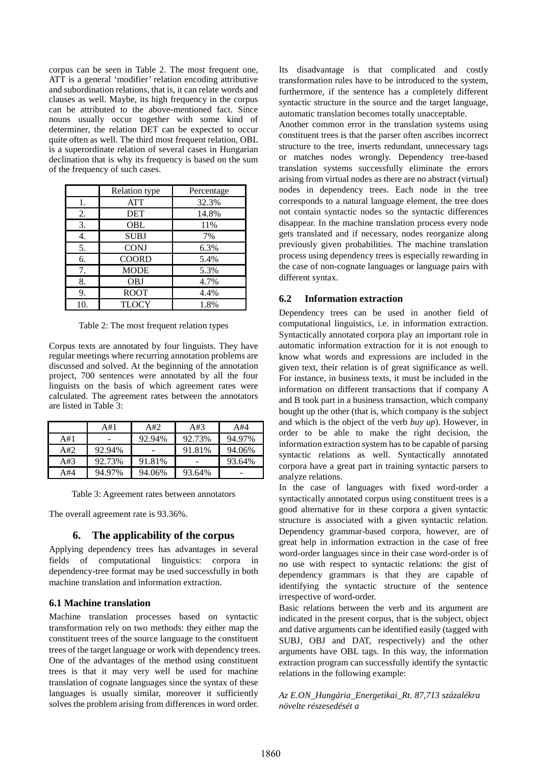corpus can be seen in Table 2. The most frequent one, ATT is a general 'modifier' relation encoding attributive and subordination relations, that is, it can relate words and clauses as well. Maybe, its high frequency in the corpus can be attributed to the above-mentioned fact. Since nouns usually occur together with some kind of determiner, the relation DET can be expected to occur quite often as well. The third most frequent relation, OBL is a superordinate relation of several cases in Hungarian declination that is why its frequency is based on the sum of the frequency of such cases.

|     | Relation type | Percentage |
|-----|---------------|------------|
| 1.  | <b>ATT</b>    | 32.3%      |
| 2.  | <b>DET</b>    | 14.8%      |
| 3.  | OBL           | 11%        |
| 4.  | <b>SUBJ</b>   | 7%         |
| 5.  | <b>CONJ</b>   | 6.3%       |
| 6.  | <b>COORD</b>  | 5.4%       |
| 7.  | <b>MODE</b>   | 5.3%       |
| 8.  | <b>OBJ</b>    | 4.7%       |
| 9.  | <b>ROOT</b>   | 4.4%       |
| 10. | TLOCY         | 1.8%       |

Table 2: The most frequent relation types

Corpus texts are annotated by four linguists. They have regular meetings where recurring annotation problems are discussed and solved. At the beginning of the annotation project, 700 sentences were annotated by all the four linguists on the basis of which agreement rates were calculated. The agreement rates between the annotators are listed in Table 3:

|     | A#1    | A#2    | A#3    | A#4    |
|-----|--------|--------|--------|--------|
| A#1 |        | 92.94% | 92.73% | 94.97% |
| A#2 | 92.94% |        | 91.81% | 94.06% |
| A#3 | 92.73% | 91.81% |        | 93.64% |
| A#4 | 94.97% | 94.06% | 93.64% | -      |

Table 3: Agreement rates between annotators

The overall agreement rate is 93.36%.

#### **6. The applicability of the corpus**

Applying dependency trees has advantages in several fields of computational linguistics: corpora in dependency-tree format may be used successfully in both machine translation and information extraction.

#### **6.1 Machine translation**

Machine translation processes based on syntactic transformation rely on two methods: they either map the constituent trees of the source language to the constituent trees of the target language or work with dependency trees. One of the advantages of the method using constituent trees is that it may very well be used for machine translation of cognate languages since the syntax of these languages is usually similar, moreover it sufficiently solves the problem arising from differences in word order.

Its disadvantage is that complicated and costly transformation rules have to be introduced to the system, furthermore, if the sentence has a completely different syntactic structure in the source and the target language, automatic translation becomes totally unacceptable.

Another common error in the translation systems using constituent trees is that the parser often ascribes incorrect structure to the tree, inserts redundant, unnecessary tags or matches nodes wrongly. Dependency tree-based translation systems successfully eliminate the errors arising from virtual nodes as there are no abstract (virtual) nodes in dependency trees. Each node in the tree corresponds to a natural language element, the tree does not contain syntactic nodes so the syntactic differences disappear. In the machine translation process every node gets translated and if necessary, nodes reorganize along previously given probabilities. The machine translation process using dependency trees is especially rewarding in the case of non-cognate languages or language pairs with different syntax.

#### **6.2 Information extraction**

Dependency trees can be used in another field of computational linguistics, i.e. in information extraction. Syntactically annotated corpora play an important role in automatic information extraction for it is not enough to know what words and expressions are included in the given text, their relation is of great significance as well. For instance, in business texts, it must be included in the information on different transactions that if company A and B took part in a business transaction, which company bought up the other (that is, which company is the subject and which is the object of the verb *buy up*). However, in order to be able to make the right decision, the information extraction system has to be capable of parsing syntactic relations as well. Syntactically annotated corpora have a great part in training syntactic parsers to analyze relations.

In the case of languages with fixed word-order a syntactically annotated corpus using constituent trees is a good alternative for in these corpora a given syntactic structure is associated with a given syntactic relation. Dependency grammar-based corpora, however, are of great help in information extraction in the case of free word-order languages since in their case word-order is of no use with respect to syntactic relations: the gist of dependency grammars is that they are capable of identifying the syntactic structure of the sentence irrespective of word-order.

Basic relations between the verb and its argument are indicated in the present corpus, that is the subject, object and dative arguments can be identified easily (tagged with SUBJ, OBJ and DAT, respectively) and the other arguments have OBL tags. In this way, the information extraction program can successfully identify the syntactic relations in the following example:

### *Az E.ON\_Hungária\_Energetikai\_Rt. 87,713 százalékra növelte részesedését a*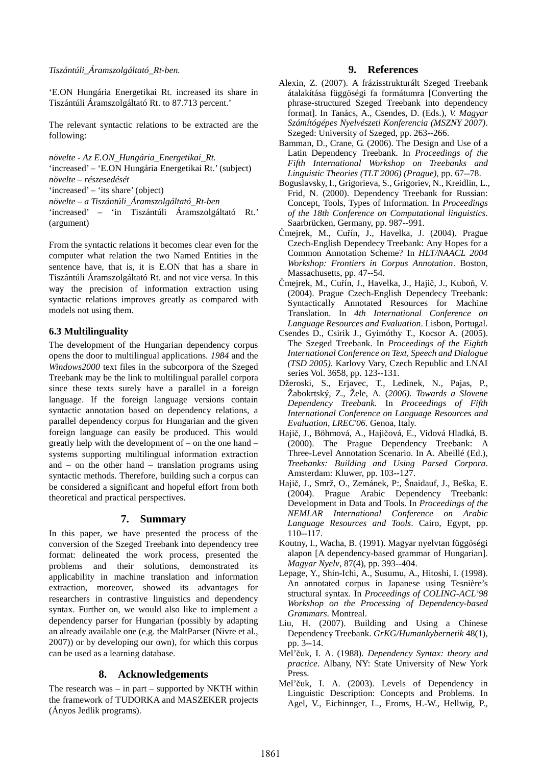'E.ON Hungária Energetikai Rt. increased its share in Tiszántúli Áramszolgáltató Rt. to 87.713 percent.'

The relevant syntactic relations to be extracted are the following:

*növelte* - *Az E.ON\_Hungária\_Energetikai\_Rt.* 'increased' – 'E.ON Hungária Energetikai Rt.' (subject) *növelte* – *részesedését* 'increased' – 'its share' (object) *növelte* – *a Tiszántúli\_Áramszolgáltató\_Rt-ben*  'increased' – 'in Tiszántúli Áramszolgáltató Rt.' (argument)

From the syntactic relations it becomes clear even for the computer what relation the two Named Entities in the sentence have, that is, it is E.ON that has a share in Tiszántúli Áramszolgáltató Rt. and not vice versa. In this way the precision of information extraction using syntactic relations improves greatly as compared with models not using them.

### **6.3 Multilinguality**

The development of the Hungarian dependency corpus opens the door to multilingual applications. *1984* and the *Windows2000* text files in the subcorpora of the Szeged Treebank may be the link to multilingual parallel corpora since these texts surely have a parallel in a foreign language. If the foreign language versions contain syntactic annotation based on dependency relations, a parallel dependency corpus for Hungarian and the given foreign language can easily be produced. This would greatly help with the development of – on the one hand – systems supporting multilingual information extraction and – on the other hand – translation programs using syntactic methods. Therefore, building such a corpus can be considered a significant and hopeful effort from both theoretical and practical perspectives.

## **7. Summary**

In this paper, we have presented the process of the conversion of the Szeged Treebank into dependency tree format: delineated the work process, presented the problems and their solutions, demonstrated its applicability in machine translation and information extraction, moreover, showed its advantages for researchers in contrastive linguistics and dependency syntax. Further on, we would also like to implement a dependency parser for Hungarian (possibly by adapting an already available one (e.g. the MaltParser (Nivre et al., 2007)) or by developing our own), for which this corpus can be used as a learning database.

## **8. Acknowledgements**

The research was  $-$  in part  $-$  supported by NKTH within the framework of TUDORKA and MASZEKER projects (Ányos Jedlik programs).

### **9. References**

- Alexin, Z. (2007). A frázisstrukturált Szeged Treebank átalakítása függőségi fa formátumra [Converting the phrase-structured Szeged Treebank into dependency format]. In Tanács, A., Csendes, D. (Eds.), *V. Magyar Számítógépes Nyelvészeti Konferencia (MSZNY 2007)*. Szeged: University of Szeged, pp. 263--266.
- Bamman, D., Crane, G. (2006). The Design and Use of a Latin Dependency Treebank. In *Proceedings of the Fifth International Workshop on Treebanks and Linguistic Theories (TLT 2006) (Prague)*, pp. 67--78.
- Boguslavsky, I., Grigorieva, S., Grigoriev, N., Kreidlin, L., Frid, N. (2000). Dependency Treebank for Russian: Concept, Tools, Types of Information. In *Proceedings of the 18th Conference on Computational linguistics*. Saarbrücken, Germany, pp. 987--991.
- Čmejrek, M., Cuřín, J., Havelka, J. (2004). Prague Czech-English Dependecy Treebank: Any Hopes for a Common Annotation Scheme? In *HLT/NAACL 2004 Workshop: Frontiers in Corpus Annotation*. Boston, Massachusetts, pp. 47--54.
- Čmejrek, M., Cuřín, J., Havelka, J., Hajič, J., Kuboň, V. (2004). Prague Czech-English Dependecy Treebank: Syntactically Annotated Resources for Machine Translation. In *4th International Conference on Language Resources and Evaluation*. Lisbon, Portugal.
- Csendes D., Csirik J., Gyimóthy T., Kocsor A. (2005). The Szeged Treebank. In *Proceedings of the Eighth International Conference on Text, Speech and Dialogue (TSD 2005)*. Karlovy Vary, Czech Republic and LNAI series Vol. 3658, pp. 123--131.
- Džeroski, S., Erjavec, T., Ledinek, N., Pajas, P., Žabokrtský, Z., Žele, A. (*2006). Towards a Slovene Dependency Treebank.* In *Proceedings of Fifth International Conference on Language Resources and Evaluation, LREC'06*. Genoa, Italy.
- Hajič, J., Böhmová, A., Hajičová, E., Vidová Hladká, B. (2000). The Prague Dependency Treebank: A Three-Level Annotation Scenario. In A. Abeillé (Ed.), *Treebanks: Building and Using Parsed Corpora*. Amsterdam: Kluwer, pp. 103--127.
- Hajič, J., Smrž, O., Zemánek, P:, Šnaidauf, J., Beška, E. (2004). Prague Arabic Dependency Treebank: Development in Data and Tools. In *Proceedings of the NEMLAR International Conference on Arabic Language Resources and Tools*. Cairo, Egypt, pp. 110--117.
- Koutny, I., Wacha, B. (1991). Magyar nyelvtan függőségi alapon [A dependency-based grammar of Hungarian]. *Magyar Nyelv*, 87(4), pp. 393--404.
- Lepage, Y., Shin-Ichi, A., Susumu, A., Hitoshi, I. (1998). An annotated corpus in Japanese using Tesnière's structural syntax. In *Proceedings of COLING-ACL'98 Workshop on the Processing of Dependency-based Grammars*. Montreal.
- Liu, H. (2007). Building and Using a Chinese Dependency Treebank. *GrKG/Humankybernetik* 48(1), pp. 3--14.
- Mel'čuk, I. A. (1988). *Dependency Syntax: theory and practice*. Albany, NY: State University of New York Press.
- Mel'čuk, I. A. (2003). Levels of Dependency in Linguistic Description: Concepts and Problems. In Agel, V., Eichinnger, L., Eroms, H.-W., Hellwig, P.,